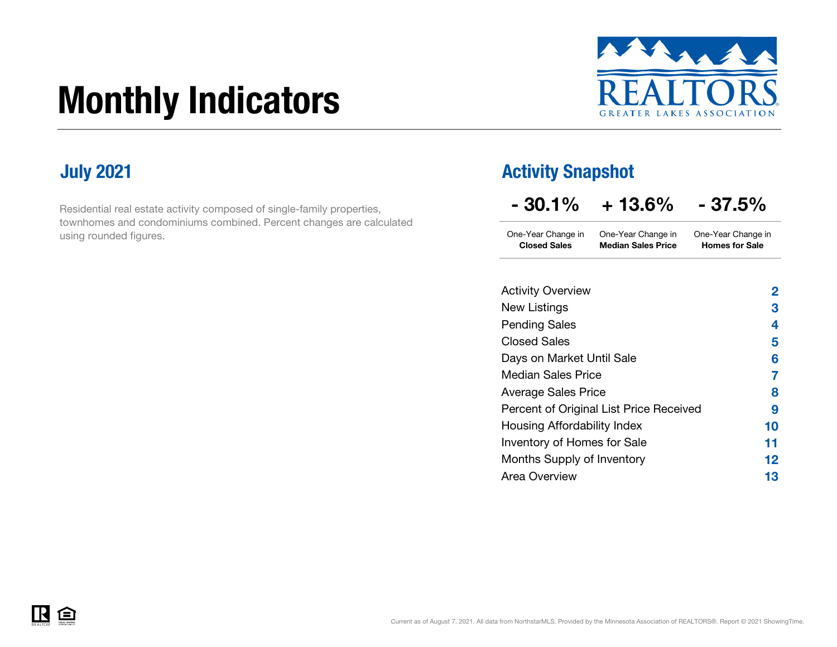# Monthly Indicators



Residential real estate activity composed of single-family properties, townhomes and condominiums combined. Percent changes are calculated using rounded figures.

### **July 2021 Activity Snapshot**

| $-30.1%$ | $+13.6%$ | $-37.5%$ |
|----------|----------|----------|
|----------|----------|----------|

One-Year Change in One-Year Change in Closed Sales Median Sales PriceOne-Year Change in Homes for Sale

| <b>Activity Overview</b>                | 2  |
|-----------------------------------------|----|
| New Listings                            | 3  |
| <b>Pending Sales</b>                    | 4  |
| Closed Sales                            | 5  |
| Days on Market Until Sale               | 6  |
| <b>Median Sales Price</b>               | 7  |
| <b>Average Sales Price</b>              | 8  |
| Percent of Original List Price Received | 9  |
| Housing Affordability Index             | 10 |
| Inventory of Homes for Sale             | 11 |
| Months Supply of Inventory              | 12 |
| Area Overview                           | 13 |
|                                         |    |

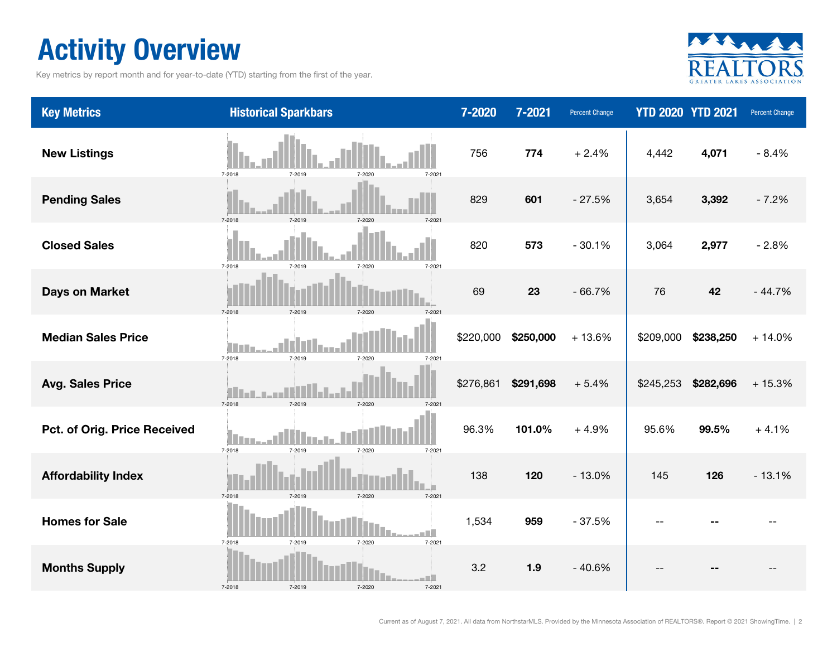### Activity Overview

Key metrics by report month and for year-to-date (YTD) starting from the first of the year.



| <b>Key Metrics</b>           | <b>Historical Sparkbars</b>                     | 7-2020    | 7-2021    | <b>Percent Change</b> | <b>YTD 2020 YTD 2021</b> |           | Percent Change |
|------------------------------|-------------------------------------------------|-----------|-----------|-----------------------|--------------------------|-----------|----------------|
| <b>New Listings</b>          | 7-2018<br>7-2019<br>7-2020<br>7-2021            | 756       | 774       | $+2.4%$               | 4,442                    | 4,071     | $-8.4%$        |
| <b>Pending Sales</b>         | 7-2018<br>7-2019<br>$7 - 2020$<br>$7 - 202$     | 829       | 601       | $-27.5%$              | 3,654                    | 3,392     | $-7.2%$        |
| <b>Closed Sales</b>          | 7-2018<br>7-2019<br>7-2021<br>7-2020            | 820       | 573       | $-30.1%$              | 3,064                    | 2,977     | $-2.8%$        |
| <b>Days on Market</b>        | 7-2018<br>7-2019<br>7-2020<br>$7 - 202$         | 69        | 23        | $-66.7%$              | 76                       | 42        | $-44.7%$       |
| <b>Median Sales Price</b>    | i i T<br>7-2018<br>7-2019<br>7-2020<br>7-2021   | \$220,000 | \$250,000 | $+13.6%$              | \$209,000                | \$238,250 | $+14.0%$       |
| <b>Avg. Sales Price</b>      | 7-2018<br>7-2019<br>7-2020                      | \$276,861 | \$291,698 | $+5.4%$               | \$245,253                | \$282,696 | $+15.3%$       |
| Pct. of Orig. Price Received | m<br>7-2018<br>7-2019<br>7-2020<br>7-2021       | 96.3%     | 101.0%    | $+4.9%$               | 95.6%                    | 99.5%     | $+4.1%$        |
| <b>Affordability Index</b>   | 7-2018<br>7-2019<br>7-2020<br>7-2021            | 138       | 120       | $-13.0%$              | 145                      | 126       | $-13.1%$       |
| <b>Homes for Sale</b>        | 7-2018<br>7-2019<br>7-2020<br>7-2021            | 1,534     | 959       | $-37.5%$              |                          |           |                |
| <b>Months Supply</b>         | n Billi<br>7-2018<br>7-2019<br>7-2020<br>7-2021 | 3.2       | 1.9       | $-40.6%$              |                          |           |                |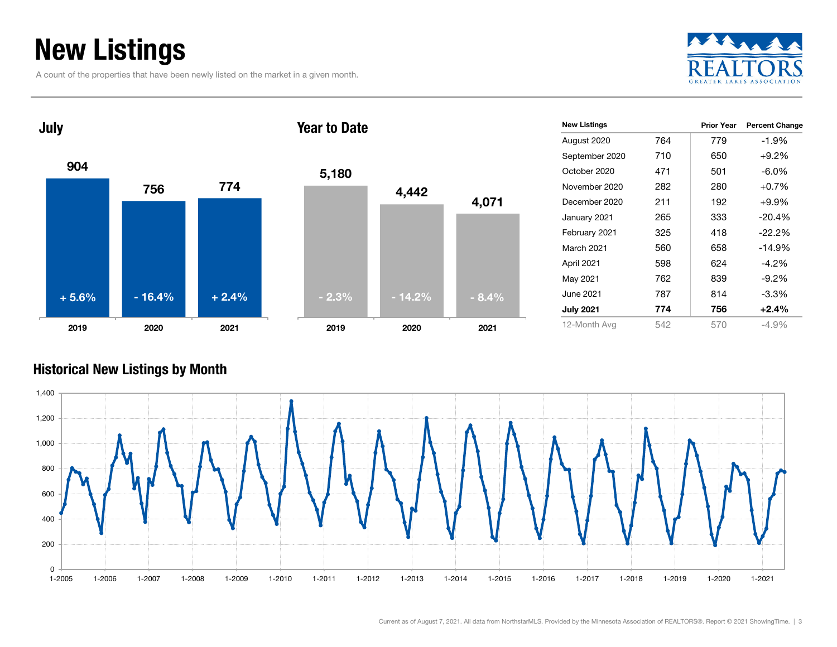### New Listings

A count of the properties that have been newly listed on the market in a given month.







| <b>New Listings</b> |     | <b>Prior Year</b> | <b>Percent Change</b> |
|---------------------|-----|-------------------|-----------------------|
| August 2020         | 764 | 779               | $-1.9%$               |
| September 2020      | 710 | 650               | $+9.2%$               |
| October 2020        | 471 | 501               | $-6.0\%$              |
| November 2020       | 282 | 280               | $+0.7%$               |
| December 2020       | 211 | 192               | $+9.9%$               |
| January 2021        | 265 | 333               | $-20.4%$              |
| February 2021       | 325 | 418               | $-22.2%$              |
| March 2021          | 560 | 658               | $-14.9%$              |
| April 2021          | 598 | 624               | $-4.2\%$              |
| May 2021            | 762 | 839               | $-9.2\%$              |
| June 2021           | 787 | 814               | $-3.3%$               |
| <b>July 2021</b>    | 774 | 756               | $+2.4%$               |
| 12-Month Avg        | 542 | 570               | -4.9%                 |

#### Historical New Listings by Month

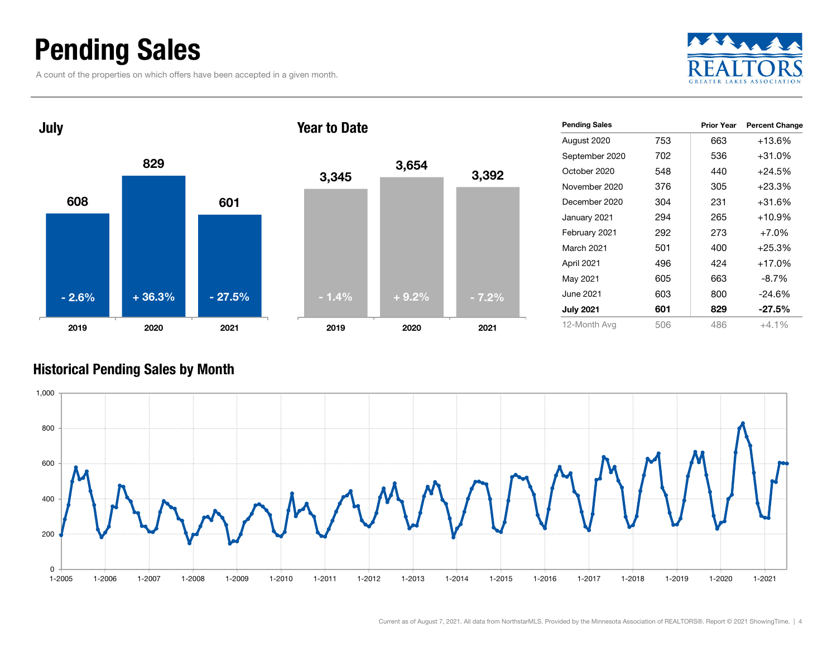### Pending Sales

A count of the properties on which offers have been accepted in a given month.





| <b>Pending Sales</b> |      | <b>Prior Year</b> | <b>Percent Change</b> |
|----------------------|------|-------------------|-----------------------|
| August 2020          | 753  | 663               | $+13.6%$              |
| September 2020       | 702. | 536               | $+31.0\%$             |
| October 2020         | 548  | 440               | $+24.5%$              |
| November 2020        | 376  | 305               | $+23.3%$              |
| December 2020        | 304  | 231               | +31.6%                |
| January 2021         | 294  | 265               | $+10.9%$              |
| February 2021        | 292  | 273               | $+7.0%$               |
| March 2021           | 501  | 400               | $+25.3%$              |
| April 2021           | 496  | 424               | +17.0%                |
| May 2021             | 605  | 663               | $-8.7\%$              |
| June 2021            | 603  | 800               | $-24.6%$              |
| <b>July 2021</b>     | 601  | 829               | $-27.5\%$             |
| 12-Month Avg         | 506  | 486               | $+4.1\%$              |

#### Historical Pending Sales by Month

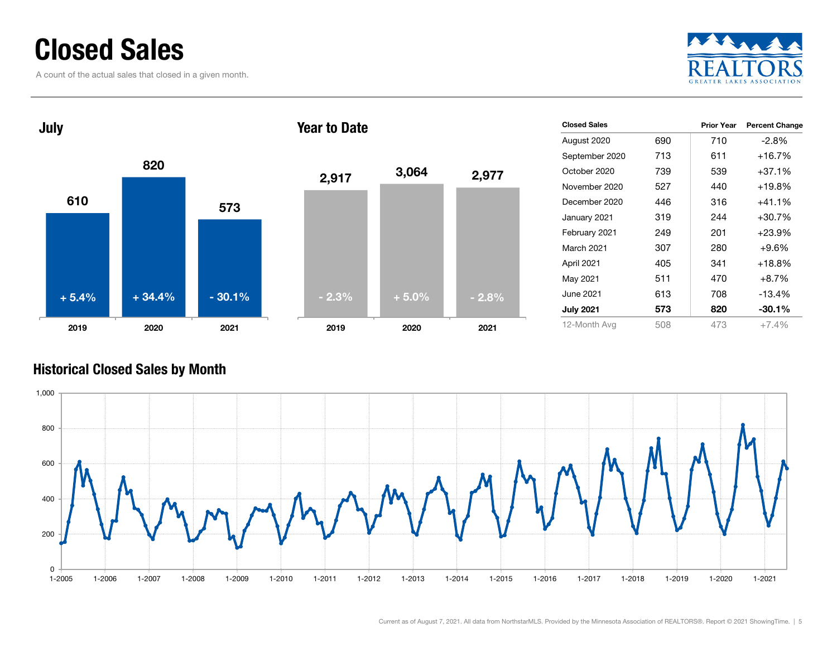### Closed Sales

A count of the actual sales that closed in a given month.





| <b>Closed Sales</b> |     | <b>Prior Year</b> | <b>Percent Change</b> |
|---------------------|-----|-------------------|-----------------------|
| August 2020         | 690 | 710               | -2.8%                 |
| September 2020      | 713 | 611               | $+16.7%$              |
| October 2020        | 739 | 539               | $+37.1%$              |
| November 2020       | 527 | 440               | $+19.8%$              |
| December 2020       | 446 | 316               | $+41.1%$              |
| January 2021        | 319 | 244               | $+30.7%$              |
| February 2021       | 249 | 201               | $+23.9%$              |
| March 2021          | 307 | 280               | $+9.6%$               |
| April 2021          | 405 | 341               | $+18.8%$              |
| May 2021            | 511 | 470               | $+8.7\%$              |
| June 2021 <b>.</b>  | 613 | 708               | $-13.4%$              |
| <b>July 2021</b>    | 573 | 820               | $-30.1%$              |
| 12-Month Avg        | 508 | 473               | $+7.4%$               |

#### Historical Closed Sales by Month

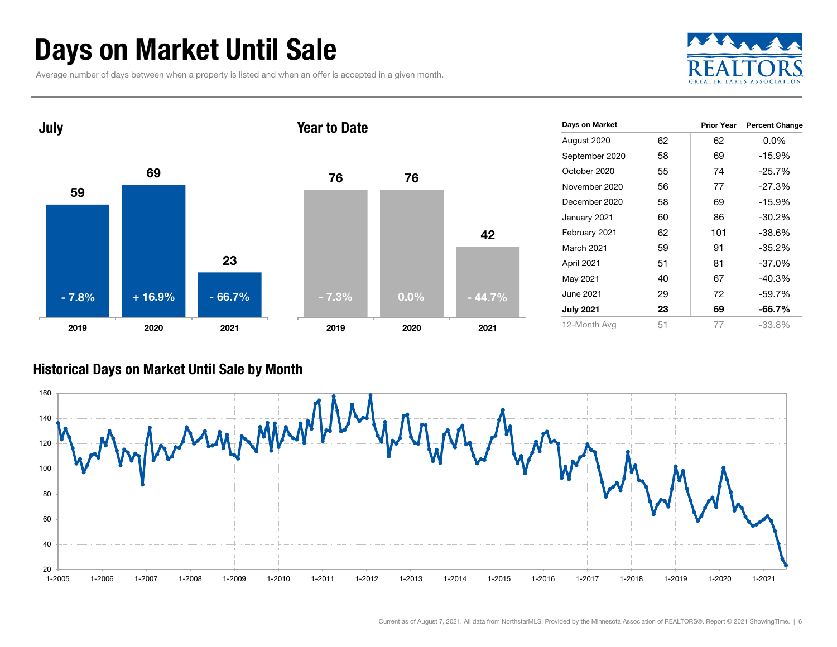### Days on Market Until Sale

Average number of days between when a property is listed and when an offer is accepted in a given month.





#### Historical Days on Market Until Sale by Month

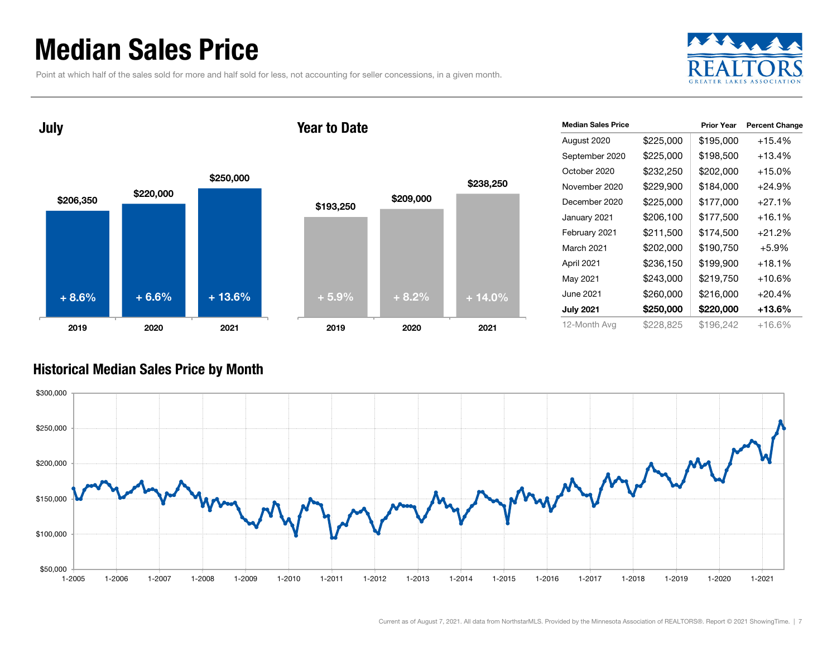### Median Sales Price

Point at which half of the sales sold for more and half sold for less, not accounting for seller concessions, in a given month.



July





| <b>Median Sales Price</b> |           | <b>Prior Year</b> | <b>Percent Change</b> |
|---------------------------|-----------|-------------------|-----------------------|
| August 2020               | \$225,000 | \$195,000         | $+15.4%$              |
| September 2020            | \$225,000 | \$198,500         | $+13.4%$              |
| October 2020              | \$232,250 | \$202,000         | $+15.0%$              |
| November 2020             | \$229,900 | \$184,000         | +24.9%                |
| December 2020             | \$225,000 | \$177,000         | $+27.1%$              |
| January 2021              | \$206,100 | \$177,500         | $+16.1\%$             |
| February 2021             | \$211,500 | \$174,500         | $+21.2%$              |
| March 2021                | \$202,000 | \$190,750         | $+5.9%$               |
| April 2021                | \$236,150 | \$199,900         | $+18.1%$              |
| May 2021                  | \$243,000 | \$219,750         | +10.6%                |
| June 2021                 | \$260,000 | \$216,000         | $+20.4%$              |
| <b>July 2021</b>          | \$250,000 | \$220,000         | +13.6%                |
| 12-Month Avg              | \$228,825 | \$196,242         | $+16.6%$              |

#### Historical Median Sales Price by Month

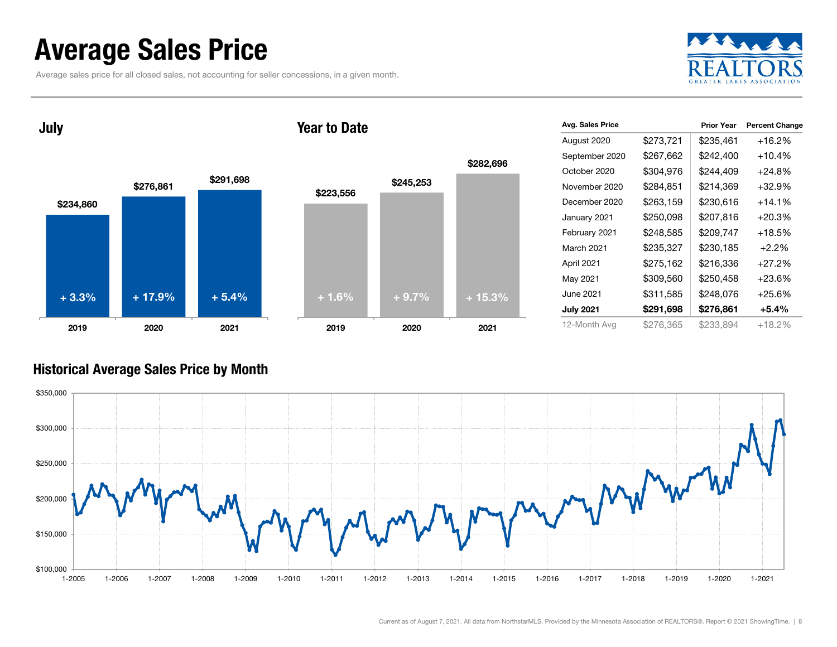### Average Sales Price

Average sales price for all closed sales, not accounting for seller concessions, in a given month.



\$234,860 \$276,861 \$291,698 2019 2020 2021 July \$223,556 2019Year to Date+ 3.3% $+ 17.9\%$   $+ 5.4\%$ 

|           |           | \$282,696 |
|-----------|-----------|-----------|
| \$223,556 | \$245,253 |           |
|           |           |           |
|           |           |           |
|           |           |           |
|           |           |           |
| $+1.6%$   | $+9.7%$   | $+15.3%$  |
|           |           |           |
| 2019      | 2020      | 2021      |

| Avg. Sales Price |           | <b>Prior Year</b> | <b>Percent Change</b> |
|------------------|-----------|-------------------|-----------------------|
| August 2020      | \$273,721 | \$235,461         | $+16.2%$              |
| September 2020   | \$267,662 | \$242,400         | $+10.4%$              |
| October 2020     | \$304,976 | \$244,409         | $+24.8%$              |
| November 2020    | \$284,851 | \$214,369         | $+32.9%$              |
| December 2020    | \$263,159 | \$230,616         | $+14.1\%$             |
| January 2021     | \$250,098 | \$207,816         | $+20.3%$              |
| February 2021    | \$248,585 | \$209,747         | $+18.5%$              |
| March 2021       | \$235,327 | \$230,185         | $+2.2%$               |
| April 2021       | \$275,162 | \$216,336         | $+27.2\%$             |
| May 2021         | \$309,560 | \$250,458         | $+23.6\%$             |
| June 2021        | \$311,585 | \$248,076         | $+25.6%$              |
| <b>July 2021</b> | \$291,698 | \$276,861         | $+5.4%$               |
| 12-Month Avg     | \$276,365 | \$233,894         | $+18.2%$              |

#### Historical Average Sales Price by Month

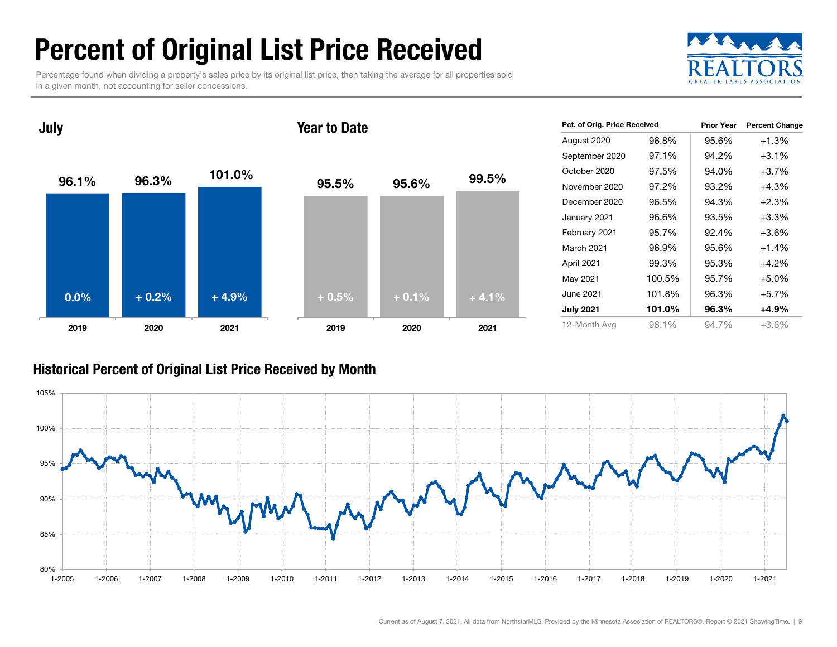### Percent of Original List Price Received

Percentage found when dividing a property's sales price by its original list price, then taking the average for all properties sold in a given month, not accounting for seller concessions.



96.1%96.3% 101.0% 2019 2020 2021 July 95.5% 95.6% 99.5% 2019 2020 2021 Year to Date0.0% $\%$  + 0.2% + 4.9% + 0.5% + 0.1% + 4.1%

| Pct. of Orig. Price Received |        | <b>Prior Year</b> | <b>Percent Change</b> |  |  |
|------------------------------|--------|-------------------|-----------------------|--|--|
| August 2020                  | 96.8%  | 95.6%             | $+1.3%$               |  |  |
| September 2020               | 97.1%  | 94.2%             | $+3.1%$               |  |  |
| October 2020                 | 97.5%  | 94.0%             | $+3.7%$               |  |  |
| November 2020                | 97.2%  | 93.2%             | $+4.3%$               |  |  |
| December 2020                | 96.5%  | 94.3%             | $+2.3%$               |  |  |
| January 2021                 | 96.6%  | 93.5%             | $+3.3\%$              |  |  |
| February 2021                | 95.7%  | 92.4%             | $+3.6\%$              |  |  |
| March 2021                   | 96.9%  | 95.6%             | $+1.4%$               |  |  |
| April 2021                   | 99.3%  | 95.3%             | $+4.2%$               |  |  |
| May 2021                     | 100.5% | 95.7%             | $+5.0%$               |  |  |
| June 2021                    | 101.8% | 96.3%             | $+5.7%$               |  |  |
| <b>July 2021</b>             | 101.0% | 96.3%             | $+4.9%$               |  |  |
| 12-Month Avg                 | 98.1%  | 94.7%             | +3.6%                 |  |  |

#### Historical Percent of Original List Price Received by Month

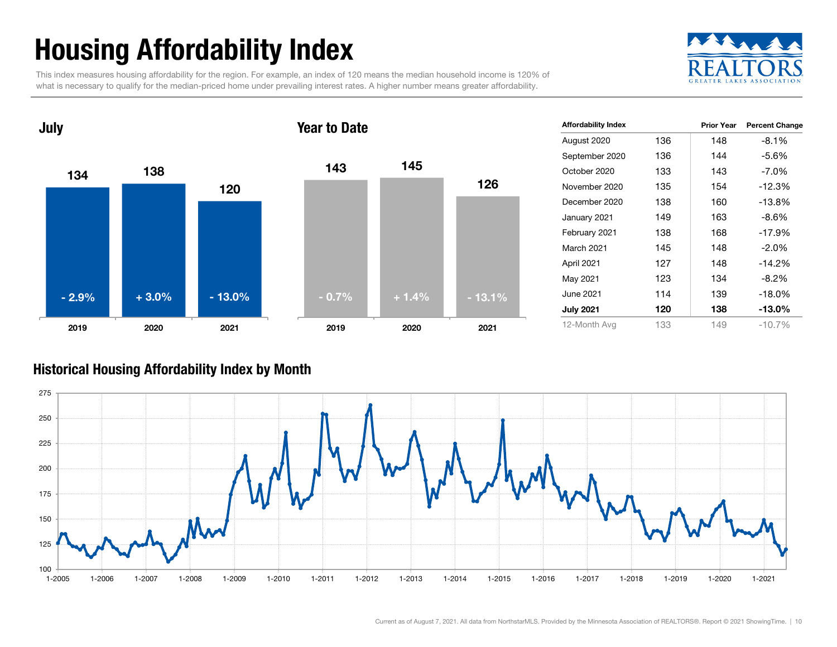## Housing Affordability Index

This index measures housing affordability for the region. For example, an index of 120 means the median household income is 120% of what is necessary to qualify for the median-priced home under prevailing interest rates. A higher number means greater affordability.





| <b>Affordability Index</b> |     | <b>Prior Year</b> | <b>Percent Change</b> |
|----------------------------|-----|-------------------|-----------------------|
| August 2020                | 136 | 148               | $-8.1%$               |
| September 2020             | 136 | 144               | $-5.6%$               |
| October 2020               | 133 | 143               | $-7.0\%$              |
| November 2020              | 135 | 154               | $-12.3%$              |
| December 2020              | 138 | 160               | $-13.8%$              |
| January 2021               | 149 | 163               | $-8.6%$               |
| February 2021              | 138 | 168               | $-17.9%$              |
| March 2021                 | 145 | 148               | $-2.0%$               |
| April 2021                 | 127 | 148               | $-14.2%$              |
| May 2021                   | 123 | 134               | $-8.2\%$              |
| June 2021                  | 114 | 139               | $-18.0%$              |
| <b>July 2021</b>           | 120 | 138               | $-13.0\%$             |
| 12-Month Avg               | 133 | 149               | $-10.7%$              |

#### Historical Housing Affordability Index by Mont h

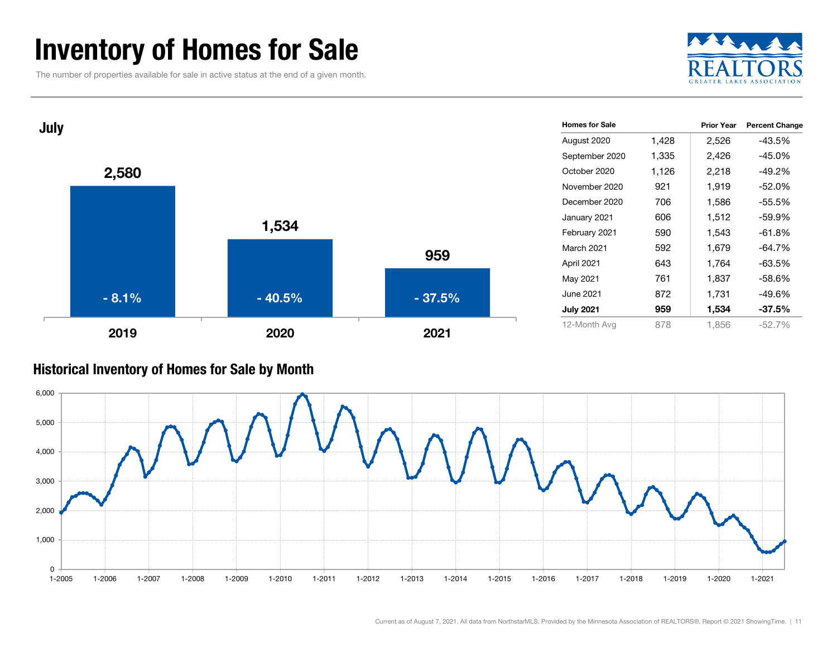### Inventory of Homes for Sale

The number of properties available for sale in active status at the end of a given month.





#### Historical Inventory of Homes for Sale by Month

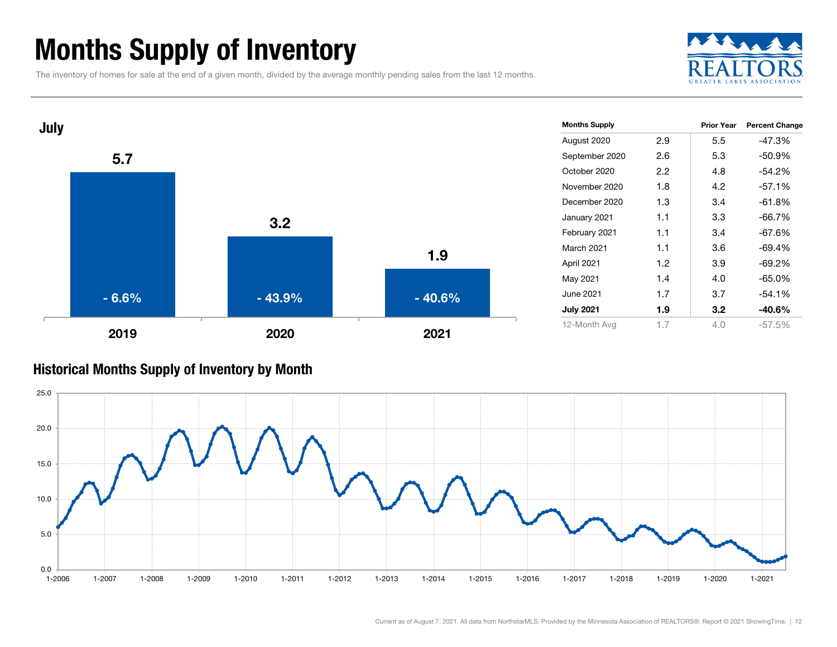### Months Supply of Inventory

The inventory of homes for sale at the end of a given month, divided by the average monthly pending sales from the last 12 months.





#### Historical Months Supply of Inventory by Month